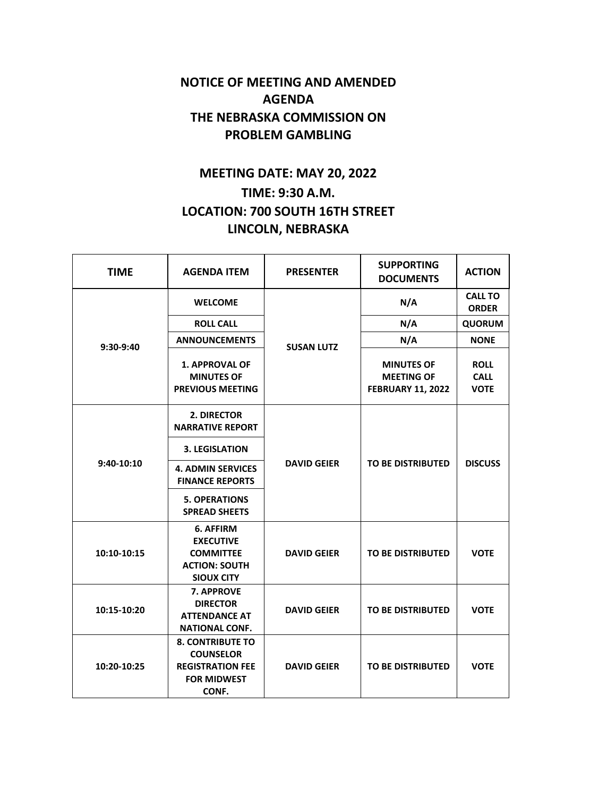## **NOTICE OF MEETING AND AMENDED AGENDA THE NEBRASKA COMMISSION ON PROBLEM GAMBLING**

## **MEETING DATE: MAY 20, 2022 TIME: 9:30 A.M. LOCATION: 700 SOUTH 16TH STREET LINCOLN, NEBRASKA**

| <b>TIME</b> | <b>AGENDA ITEM</b>                                                                                    | <b>PRESENTER</b>   | <b>SUPPORTING</b><br><b>DOCUMENTS</b>                              | <b>ACTION</b>                             |
|-------------|-------------------------------------------------------------------------------------------------------|--------------------|--------------------------------------------------------------------|-------------------------------------------|
| 9:30-9:40   | <b>WELCOME</b>                                                                                        | <b>SUSAN LUTZ</b>  | N/A                                                                | <b>CALL TO</b><br><b>ORDER</b>            |
|             | <b>ROLL CALL</b>                                                                                      |                    | N/A                                                                | <b>QUORUM</b>                             |
|             | <b>ANNOUNCEMENTS</b>                                                                                  |                    | N/A                                                                | <b>NONE</b>                               |
|             | 1. APPROVAL OF<br><b>MINUTES OF</b><br><b>PREVIOUS MEETING</b>                                        |                    | <b>MINUTES OF</b><br><b>MEETING OF</b><br><b>FEBRUARY 11, 2022</b> | <b>ROLL</b><br><b>CALL</b><br><b>VOTE</b> |
| 9:40-10:10  | 2. DIRECTOR<br><b>NARRATIVE REPORT</b>                                                                | <b>DAVID GEIER</b> | <b>TO BE DISTRIBUTED</b>                                           | <b>DISCUSS</b>                            |
|             | <b>3. LEGISLATION</b>                                                                                 |                    |                                                                    |                                           |
|             | <b>4. ADMIN SERVICES</b><br><b>FINANCE REPORTS</b>                                                    |                    |                                                                    |                                           |
|             | <b>5. OPERATIONS</b><br><b>SPREAD SHEETS</b>                                                          |                    |                                                                    |                                           |
| 10:10-10:15 | 6. AFFIRM<br><b>EXECUTIVE</b><br><b>COMMITTEE</b><br><b>ACTION: SOUTH</b><br><b>SIOUX CITY</b>        | <b>DAVID GEIER</b> | <b>TO BE DISTRIBUTED</b>                                           | <b>VOTE</b>                               |
| 10:15-10:20 | 7. APPROVE<br><b>DIRECTOR</b><br><b>ATTENDANCE AT</b><br><b>NATIONAL CONF.</b>                        | <b>DAVID GEIER</b> | <b>TO BE DISTRIBUTED</b>                                           | <b>VOTE</b>                               |
| 10:20-10:25 | <b>8. CONTRIBUTE TO</b><br><b>COUNSELOR</b><br><b>REGISTRATION FEE</b><br><b>FOR MIDWEST</b><br>CONF. | <b>DAVID GEIER</b> | <b>TO BE DISTRIBUTED</b>                                           | <b>VOTE</b>                               |